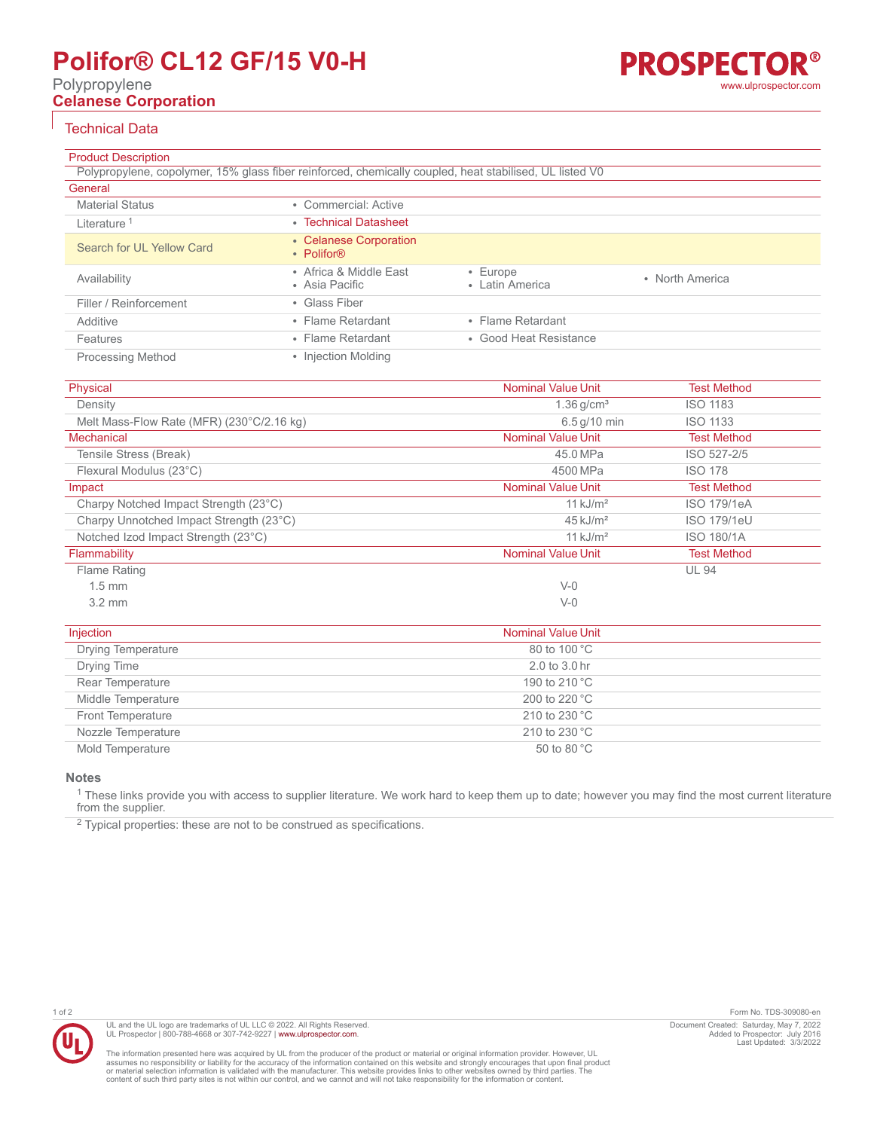# **Polifor® CL12 GF/15 V0-H**

Polypropylene

# **Celanese Corporation**

# Technical Data

| <b>Product Description</b>                                                                              |                                                  |                                   |                 |
|---------------------------------------------------------------------------------------------------------|--------------------------------------------------|-----------------------------------|-----------------|
| Polypropylene, copolymer, 15% glass fiber reinforced, chemically coupled, heat stabilised, UL listed V0 |                                                  |                                   |                 |
| General                                                                                                 |                                                  |                                   |                 |
| <b>Material Status</b>                                                                                  | • Commercial: Active                             |                                   |                 |
| Literature <sup>1</sup>                                                                                 | • Technical Datasheet                            |                                   |                 |
| Search for UL Yellow Card                                                                               | • Celanese Corporation<br>• Polifor <sup>®</sup> |                                   |                 |
| Availability                                                                                            | • Africa & Middle East<br>• Asia Pacific         | $\cdot$ Europe<br>• Latin America | • North America |
| Filler / Reinforcement                                                                                  | • Glass Fiber                                    |                                   |                 |
| Additive                                                                                                | • Flame Retardant                                | • Flame Retardant                 |                 |
| Features                                                                                                | • Flame Retardant                                | • Good Heat Resistance            |                 |
| <b>Processing Method</b>                                                                                | • Injection Molding                              |                                   |                 |

| Physical                                  | <b>Nominal Value Unit</b> | <b>Test Method</b> |
|-------------------------------------------|---------------------------|--------------------|
| Density                                   | $1.36$ g/cm <sup>3</sup>  | <b>ISO 1183</b>    |
| Melt Mass-Flow Rate (MFR) (230°C/2.16 kg) | $6.5$ g/10 min            | <b>ISO 1133</b>    |
| <b>Mechanical</b>                         | <b>Nominal Value Unit</b> | <b>Test Method</b> |
| Tensile Stress (Break)                    | 45.0 MPa                  | ISO 527-2/5        |
| Flexural Modulus (23°C)                   | 4500 MPa                  | <b>ISO 178</b>     |
| Impact                                    | <b>Nominal Value Unit</b> | <b>Test Method</b> |
| Charpy Notched Impact Strength (23°C)     | $11$ kJ/m <sup>2</sup>    | <b>ISO 179/1eA</b> |
| Charpy Unnotched Impact Strength (23°C)   | $45 \mathrm{kJ/m^2}$      | <b>ISO 179/1eU</b> |
| Notched Izod Impact Strength (23°C)       | $11$ kJ/m <sup>2</sup>    | <b>ISO 180/1A</b>  |
| Flammability                              | <b>Nominal Value Unit</b> | <b>Test Method</b> |
| Flame Rating                              |                           | <b>UL 94</b>       |
| $1.5 \text{ mm}$                          | $V-0$                     |                    |
| $3.2 \text{ mm}$                          | $V-0$                     |                    |
| Injection                                 | Nominal Value Unit        |                    |

| Injection                 |
|---------------------------|
| <b>Drying Temperature</b> |
| Drying Time               |
| Rear Temperature          |
| Middle Temperature        |
| <b>Front Temperature</b>  |
| Nozzle Temperature        |
| Mold Temperature          |
|                           |

**Notes**

<sup>1</sup> These links provide you with access to supplier literature. We work hard to keep them up to date; however you may find the most current literature from the supplier.

 $2$  Typical properties: these are not to be construed as specifications.



The information presented here was acquired by UL from the producer of the product or material or original information provider. However, UL<br>assumes no responsibility or liability for the accuracy of the information contai